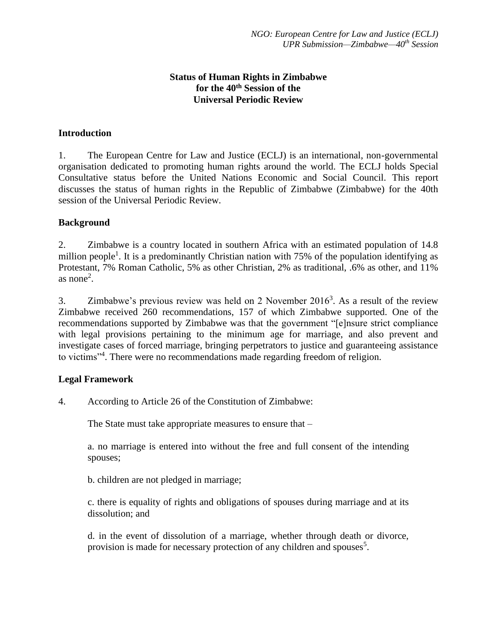# **Status of Human Rights in Zimbabwe for the 40th Session of the Universal Periodic Review**

## **Introduction**

1. The European Centre for Law and Justice (ECLJ) is an international, non-governmental organisation dedicated to promoting human rights around the world. The ECLJ holds Special Consultative status before the United Nations Economic and Social Council. This report discusses the status of human rights in the Republic of Zimbabwe (Zimbabwe) for the 40th session of the Universal Periodic Review.

#### **Background**

2. Zimbabwe is a country located in southern Africa with an estimated population of 14.8 million people<sup>1</sup>. It is a predominantly Christian nation with 75% of the population identifying as Protestant, 7% Roman Catholic, 5% as other Christian, 2% as traditional, .6% as other, and 11% as none<sup>2</sup>.

3. Zimbabwe's previous review was held on 2 November 2016<sup>3</sup>. As a result of the review Zimbabwe received 260 recommendations, 157 of which Zimbabwe supported. One of the recommendations supported by Zimbabwe was that the government "[e]nsure strict compliance with legal provisions pertaining to the minimum age for marriage, and also prevent and investigate cases of forced marriage, bringing perpetrators to justice and guaranteeing assistance to victims"<sup>4</sup> . There were no recommendations made regarding freedom of religion.

#### **Legal Framework**

4. According to Article 26 of the Constitution of Zimbabwe:

The State must take appropriate measures to ensure that –

a. no marriage is entered into without the free and full consent of the intending spouses;

b. children are not pledged in marriage;

c. there is equality of rights and obligations of spouses during marriage and at its dissolution; and

d. in the event of dissolution of a marriage, whether through death or divorce, provision is made for necessary protection of any children and spouses<sup>5</sup>.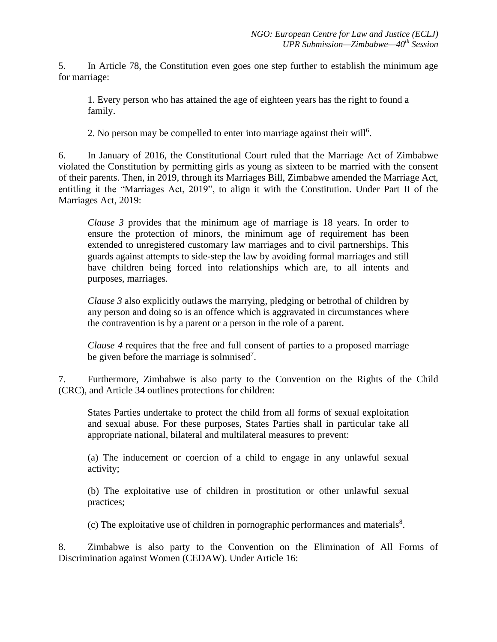5. In Article 78, the Constitution even goes one step further to establish the minimum age for marriage:

1. Every person who has attained the age of eighteen years has the right to found a family.

2. No person may be compelled to enter into marriage against their will<sup>6</sup>.

6. In January of 2016, the Constitutional Court ruled that the Marriage Act of Zimbabwe violated the Constitution by permitting girls as young as sixteen to be married with the consent of their parents. Then, in 2019, through its Marriages Bill, Zimbabwe amended the Marriage Act, entitling it the "Marriages Act, 2019", to align it with the Constitution. Under Part II of the Marriages Act, 2019:

*Clause 3* provides that the minimum age of marriage is 18 years. In order to ensure the protection of minors, the minimum age of requirement has been extended to unregistered customary law marriages and to civil partnerships. This guards against attempts to side-step the law by avoiding formal marriages and still have children being forced into relationships which are, to all intents and purposes, marriages.

*Clause* 3 also explicitly outlaws the marrying, pledging or betrothal of children by any person and doing so is an offence which is aggravated in circumstances where the contravention is by a parent or a person in the role of a parent.

*Clause 4* requires that the free and full consent of parties to a proposed marriage be given before the marriage is solmnised<sup>7</sup>.

7. Furthermore, Zimbabwe is also party to the Convention on the Rights of the Child (CRC), and Article 34 outlines protections for children:

States Parties undertake to protect the child from all forms of sexual exploitation and sexual abuse. For these purposes, States Parties shall in particular take all appropriate national, bilateral and multilateral measures to prevent:

(a) The inducement or coercion of a child to engage in any unlawful sexual activity;

(b) The exploitative use of children in prostitution or other unlawful sexual practices;

 $(c)$  The exploitative use of children in pornographic performances and materials $8$ .

8. Zimbabwe is also party to the Convention on the Elimination of All Forms of Discrimination against Women (CEDAW). Under Article 16: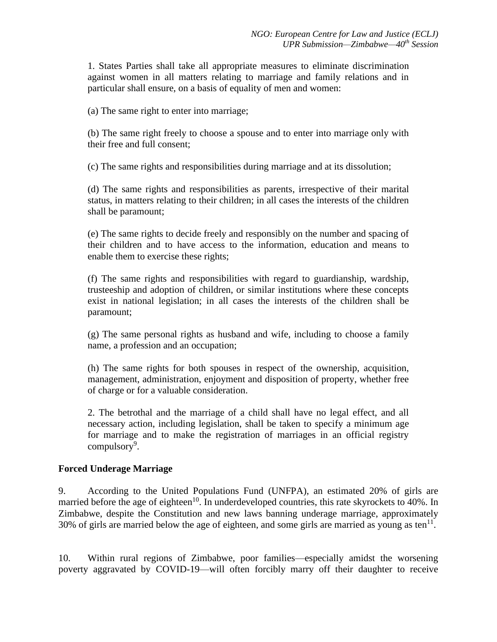1. States Parties shall take all appropriate measures to eliminate discrimination against women in all matters relating to marriage and family relations and in particular shall ensure, on a basis of equality of men and women:

(a) The same right to enter into marriage;

(b) The same right freely to choose a spouse and to enter into marriage only with their free and full consent;

(c) The same rights and responsibilities during marriage and at its dissolution;

(d) The same rights and responsibilities as parents, irrespective of their marital status, in matters relating to their children; in all cases the interests of the children shall be paramount;

(e) The same rights to decide freely and responsibly on the number and spacing of their children and to have access to the information, education and means to enable them to exercise these rights;

(f) The same rights and responsibilities with regard to guardianship, wardship, trusteeship and adoption of children, or similar institutions where these concepts exist in national legislation; in all cases the interests of the children shall be paramount;

(g) The same personal rights as husband and wife, including to choose a family name, a profession and an occupation;

(h) The same rights for both spouses in respect of the ownership, acquisition, management, administration, enjoyment and disposition of property, whether free of charge or for a valuable consideration.

2. The betrothal and the marriage of a child shall have no legal effect, and all necessary action, including legislation, shall be taken to specify a minimum age for marriage and to make the registration of marriages in an official registry compulsory<sup>9</sup>.

#### **Forced Underage Marriage**

9. According to the United Populations Fund (UNFPA), an estimated 20% of girls are married before the age of eighteen<sup>10</sup>. In underdeveloped countries, this rate skyrockets to 40%. In Zimbabwe, despite the Constitution and new laws banning underage marriage, approximately 30% of girls are married below the age of eighteen, and some girls are married as young as ten<sup>11</sup>.

10. Within rural regions of Zimbabwe, poor families—especially amidst the worsening poverty aggravated by COVID-19—will often forcibly marry off their daughter to receive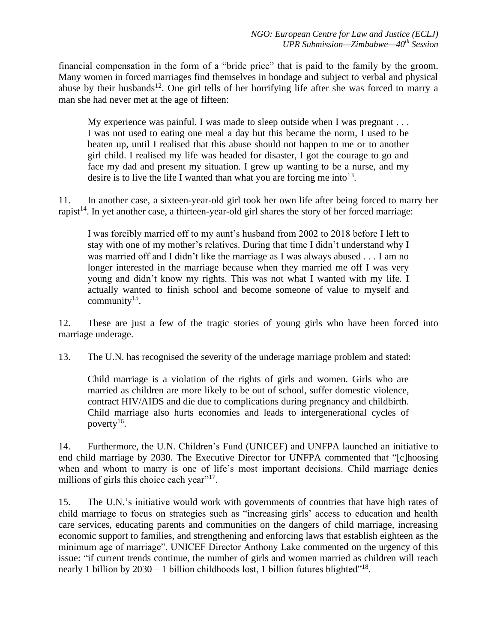financial compensation in the form of a "bride price" that is paid to the family by the groom. Many women in forced marriages find themselves in bondage and subject to verbal and physical abuse by their husbands<sup>12</sup>. One girl tells of her horrifying life after she was forced to marry a man she had never met at the age of fifteen:

My experience was painful. I was made to sleep outside when I was pregnant . . . I was not used to eating one meal a day but this became the norm, I used to be beaten up, until I realised that this abuse should not happen to me or to another girl child. I realised my life was headed for disaster, I got the courage to go and face my dad and present my situation. I grew up wanting to be a nurse, and my desire is to live the life I wanted than what you are forcing me into<sup>13</sup>.

11. In another case, a sixteen-year-old girl took her own life after being forced to marry her rapist<sup>14</sup>. In yet another case, a thirteen-year-old girl shares the story of her forced marriage:

I was forcibly married off to my aunt's husband from 2002 to 2018 before I left to stay with one of my mother's relatives. During that time I didn't understand why I was married off and I didn't like the marriage as I was always abused . . . I am no longer interested in the marriage because when they married me off I was very young and didn't know my rights. This was not what I wanted with my life. I actually wanted to finish school and become someone of value to myself and community $15$ .

12. These are just a few of the tragic stories of young girls who have been forced into marriage underage.

13. The U.N. has recognised the severity of the underage marriage problem and stated:

Child marriage is a violation of the rights of girls and women. Girls who are married as children are more likely to be out of school, suffer domestic violence, contract HIV/AIDS and die due to complications during pregnancy and childbirth. Child marriage also hurts economies and leads to intergenerational cycles of poverty<sup>16</sup>.

14. Furthermore, the U.N. Children's Fund (UNICEF) and UNFPA launched an initiative to end child marriage by 2030. The Executive Director for UNFPA commented that "[c]hoosing when and whom to marry is one of life's most important decisions. Child marriage denies millions of girls this choice each year"<sup>17</sup>.

15. The U.N.'s initiative would work with governments of countries that have high rates of child marriage to focus on strategies such as "increasing girls' access to education and health care services, educating parents and communities on the dangers of child marriage, increasing economic support to families, and strengthening and enforcing laws that establish eighteen as the minimum age of marriage". UNICEF Director Anthony Lake commented on the urgency of this issue: "if current trends continue, the number of girls and women married as children will reach nearly 1 billion by  $2030 - 1$  billion childhoods lost, 1 billion futures blighted"<sup>18</sup>.